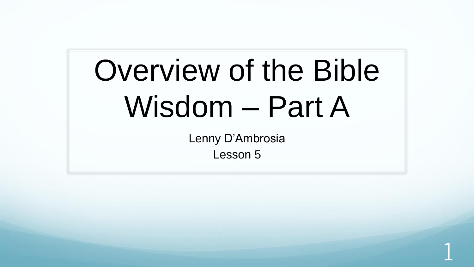# Overview of the Bible Wisdom – Part A

Lenny D'Ambrosia Lesson 5

1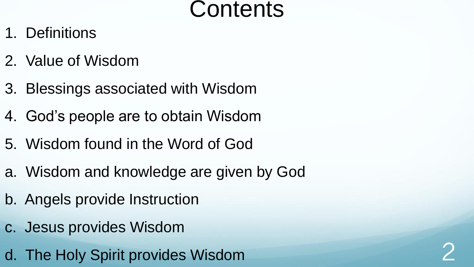### **Contents**

- 1. Definitions
- 2. Value of Wisdom
- 3. Blessings associated with Wisdom
- 4. God's people are to obtain Wisdom
- 5. Wisdom found in the Word of God
- a. Wisdom and knowledge are given by God
- b. Angels provide Instruction
- c. Jesus provides Wisdom
- d. The Holy Spirit provides Wisdom 2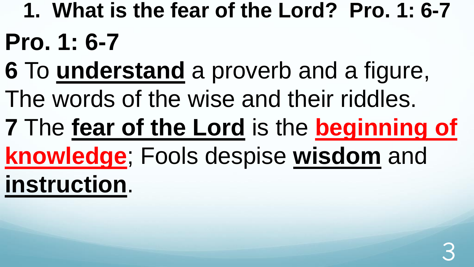- **1. What is the fear of the Lord? Pro. 1: 6-7**
- **Pro. 1: 6-7**
- **6** To **understand** a proverb and a figure,
- The words of the wise and their riddles.
- **7** The **fear of the Lord** is the **beginning of**
- **knowledge**; Fools despise **wisdom** and

**instruction**.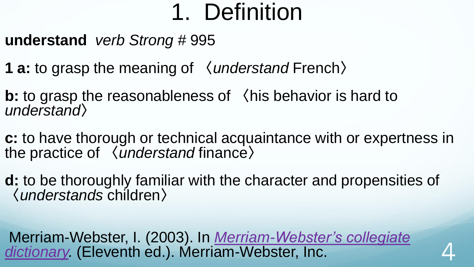**understand** *verb Strong #* 995

- **1 a:** to grasp the meaning of 〈*understand* French〉
- **b:** to grasp the reasonableness of 〈his behavior is hard to *understand*〉
- **c:** to have thorough or technical acquaintance with or expertness in the practice of 〈*understand* finance〉
- **d:** to be thoroughly familiar with the character and propensities of 〈*understands* children〉

Merriam-Webster, I. (2003). In *Merriam-Webster's collegiate*  dictionary. [\(Eleventh ed.\). Merriam-Webster, Inc.](https://ref.ly/logosres/mwdict11?hw=Understand)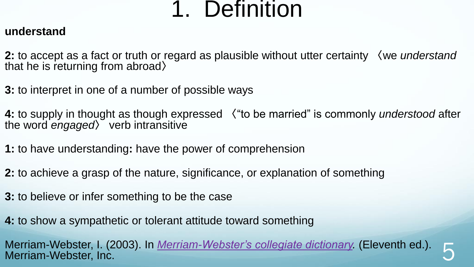#### **understand**

**2:** to accept as a fact or truth or regard as plausible without utter certainty 〈we *understand* that he is returning from abroad〉

**3:** to interpret in one of a number of possible ways

**4:** to supply in thought as though expressed 〈"to be married" is commonly *understood* after the word *engaged*〉 verb intransitive

**1:** to have understanding**:** have the power of comprehension

**2:** to achieve a grasp of the nature, significance, or explanation of something

**3:** to believe or infer something to be the case

**4:** to show a sympathetic or tolerant attitude toward something

Merriam-Webster, I. (2003). In <u>Merriam-Webster's collegiate dictionary</u>. (Eleventh ed.). <br>Merriam-Webster, Inc.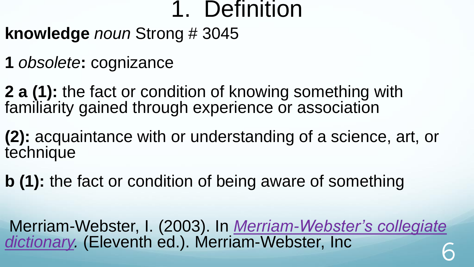- **knowledge** *noun* Strong # 3045
- **1** *obsolete***:** cognizance
- **2 a (1):** the fact or condition of knowing something with familiarity gained through experience or association
- **(2):** acquaintance with or understanding of a science, art, or technique
- **b (1):** the fact or condition of being aware of something
- Merriam-Webster, I. (2003). In *Merriam-Webster's collegiate*  dictionary. [\(Eleventh ed.\). Merriam-Webster, Inc](https://ref.ly/logosres/mwdict11?hw=Knowledge) 6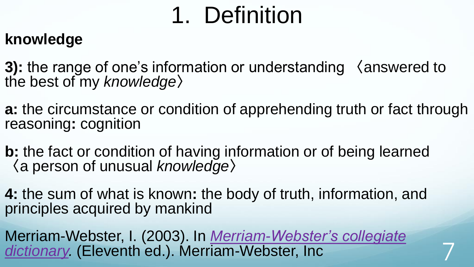#### **knowledge**

**3):** the range of one's information or understanding 〈answered to the best of my *knowledge*〉

**a:** the circumstance or condition of apprehending truth or fact through reasoning**:** cognition

**b:** the fact or condition of having information or of being learned 〈a person of unusual *knowledge*〉

**4:** the sum of what is known**:** the body of truth, information, and principles acquired by mankind

Merriam-Webster, I. (2003). In *Merriam-Webster's collegiate*  dictionary. [\(Eleventh ed.\). Merriam-Webster, Inc](https://ref.ly/logosres/mwdict11?hw=Knowledge).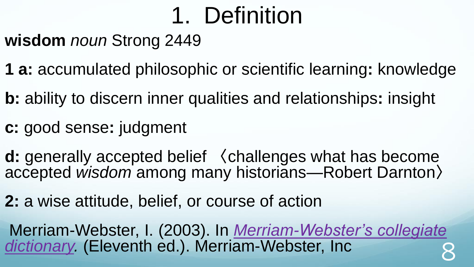**wisdom** *noun* Strong 2449

- **1 a:** accumulated philosophic or scientific learning**:** knowledge
- **b:** ability to discern inner qualities and relationships**:** insight
- **c:** good sense**:** judgment
- **d:** generally accepted belief 〈challenges what has become accepted *wisdom* among many historians—Robert Darnton〉
- **2:** a wise attitude, belief, or course of action

Merriam-Webster, I. (2003). In *Merriam-Webster's collegiate*  dictionary. [\(Eleventh ed.\). Merriam-Webster, Inc](https://ref.ly/logosres/mwdict11?hw=Wisdom) 8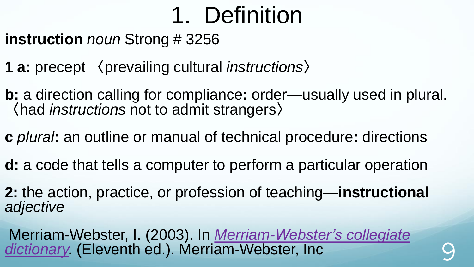**instruction** *noun* Strong # 3256

- **1 a:** precept 〈prevailing cultural *instructions*〉
- **b:** a direction calling for compliance**:** order—usually used in plural. 〈had *instructions* not to admit strangers〉
- **c** *plural***:** an outline or manual of technical procedure**:** directions
- **d:** a code that tells a computer to perform a particular operation
- **2:** the action, practice, or profession of teaching—**instructional** *adjective*
- Merriam-Webster, I. (2003). In *Merriam-Webster's collegiate*  dictionary. [\(Eleventh ed.\). Merriam-Webster, Inc](https://ref.ly/logosres/mwdict11?hw=Instruction) 9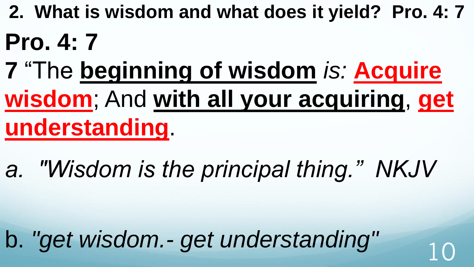**2. What is wisdom and what does it yield? Pro. 4: 7** 

## **Pro. 4: 7**

- **7** "The **beginning of wisdom** *is:* **Acquire wisdom**; And **with all your acquiring**, **get understanding**.
- *a. "Wisdom is the principal thing." NKJV*

b. "get wisdom.- get understanding" 10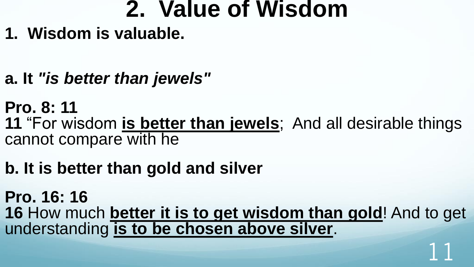### **2. Value of Wisdom**

- **1. Wisdom is valuable.**
- **a. It** *"is better than jewels"*

**Pro. 8: 11 11** "For wisdom **is better than jewels**; And all desirable things cannot compare with he

### **b. It is better than gold and silver**

**Pro. 16: 16 16** How much **better it is to get wisdom than gold**! And to get understanding **is to be chosen above silver**.

11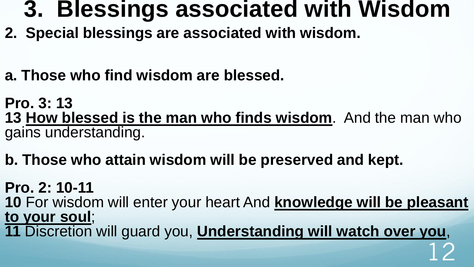### **3. Blessings associated with Wisdom**

- **2. Special blessings are associated with wisdom.**
- **a. Those who find wisdom are blessed.**

**Pro. 3: 13 13 How blessed is the man who finds wisdom**. And the man who gains understanding.

#### **b. Those who attain wisdom will be preserved and kept.**

**Pro. 2: 10-11 10** For wisdom will enter your heart And **knowledge will be pleasant** 

**to your soul**; **11** Discretion will guard you, **Understanding will watch over you**,

12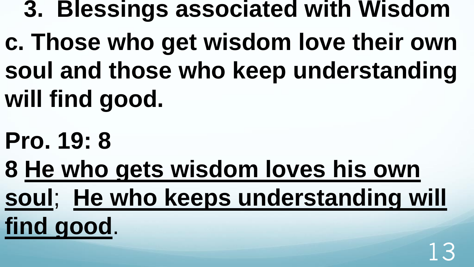- **3. Blessings associated with Wisdom**
- **c. Those who get wisdom love their own soul and those who keep understanding will find good.**
- **Pro. 19: 8**
- **8 He who gets wisdom loves his own soul**; **He who keeps understanding will find good**.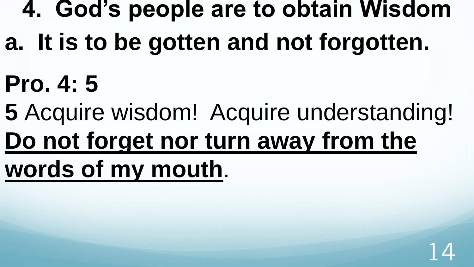## **4. God's people are to obtain Wisdom**

- **a. It is to be gotten and not forgotten.**
- **Pro. 4: 5**
- **5** Acquire wisdom! Acquire understanding!
- **Do not forget nor turn away from the**
- **words of my mouth**.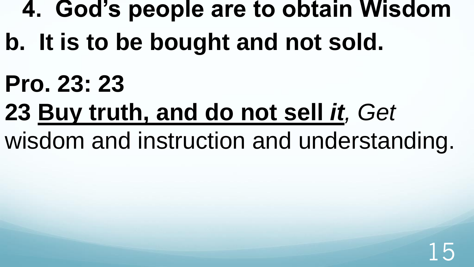### **4. God's people are to obtain Wisdom**

- **b. It is to be bought and not sold.**
- **Pro. 23: 23**
- **23 Buy truth, and do not sell** *it, Get*
- wisdom and instruction and understanding.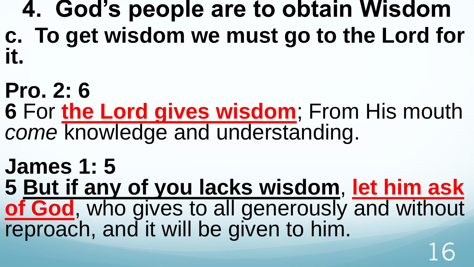**4. God's people are to obtain Wisdom c. To get wisdom we must go to the Lord for it.**

**Pro. 2: 6 6** For **the Lord gives wisdom**; From His mouth *come* knowledge and understanding.

**James 1: 5 5 But if any of you lacks wisdom**, **let him ask of God**, who gives to all generously and without reproach, and it will be given to him. 16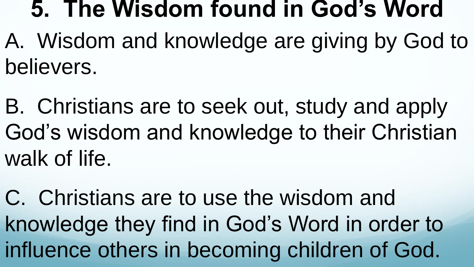### **5. The Wisdom found in God's Word**

- A. Wisdom and knowledge are giving by God to believers.
- B. Christians are to seek out, study and apply God's wisdom and knowledge to their Christian walk of life.
- C. Christians are to use the wisdom and knowledge they find in God's Word in order to influence others in becoming children of God.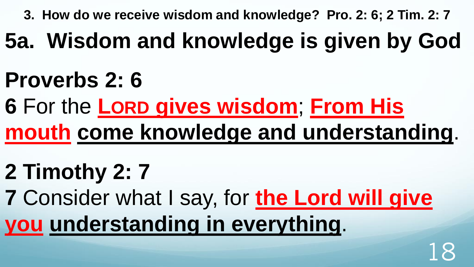**3. How do we receive wisdom and knowledge? Pro. 2: 6; 2 Tim. 2: 7** 

- **5a. Wisdom and knowledge is given by God**
- **Proverbs 2: 6**
- **6** For the **LORD gives wisdom**; **From His mouth come knowledge and understanding**.
- **2 Timothy 2: 7**
- **7** Consider what I say, for **the Lord will give you understanding in everything**.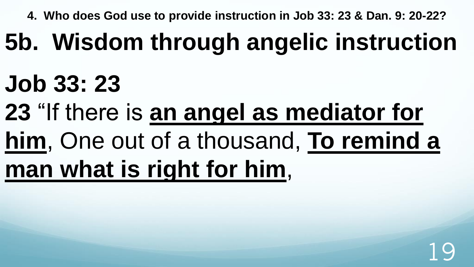**4. Who does God use to provide instruction in Job 33: 23 & Dan. 9: 20-22?**

# **5b. Wisdom through angelic instruction**

## **Job 33: 23**

- **23** "If there is **an angel as mediator for**
- **him**, One out of a thousand, **To remind a**
- **man what is right for him**,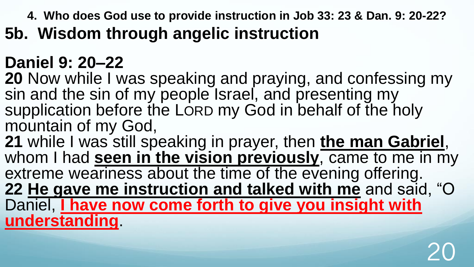**4. Who does God use to provide instruction in Job 33: 23 & Dan. 9: 20-22?**

**5b. Wisdom through angelic instruction**

### **Daniel 9: 20–22**

**20** Now while I was speaking and praying, and confessing my sin and the sin of my people Israel, and presenting my supplication before the LORD my God in behalf of the holy mountain of my God,

21 while I was still speaking in prayer, then the man Gabriel, whom I had **seen in the vision previously**, came to me in my extreme weariness about the time of the evening offering. **22 He gave me instruction and talked with me** and said, "O Daniel, **I have now come forth to give you insight with understanding**.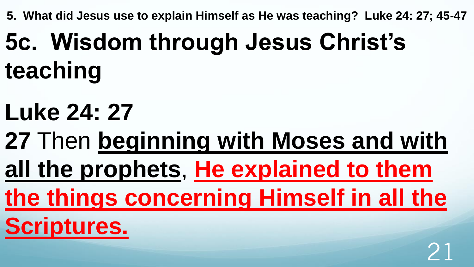**5. What did Jesus use to explain Himself as He was teaching? Luke 24: 27; 45-47** 

# **5c. Wisdom through Jesus Christ's teaching**

- **Luke 24: 27**
- **27** Then **beginning with Moses and with**
- **all the prophets**, **He explained to them**
- **the things concerning Himself in all the**

**Scriptures.**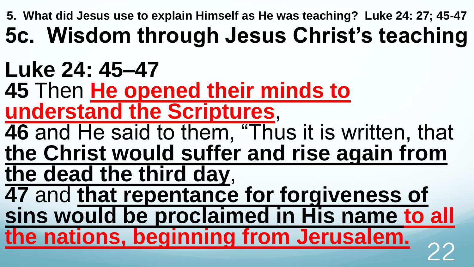**5. What did Jesus use to explain Himself as He was teaching? Luke 24: 27; 45-47** 

### **5c. Wisdom through Jesus Christ's teaching**

## **Luke 24: 45–47**

**45** Then **He opened their minds to understand the Scriptures**,

**46** and He said to them, "Thus it is written, that **the Christ would suffer and rise again from** 

**the dead the third day**,

**47** and **that repentance for forgiveness of sins would be proclaimed in His name to all** 

**the nations, beginning from Jerusalem.**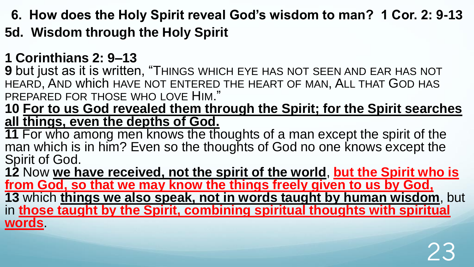- **6. How does the Holy Spirit reveal God's wisdom to man? 1 Cor. 2: 9-13**
- **5d. Wisdom through the Holy Spirit**

#### **1 Corinthians 2: 9–13**

**9** but just as it is written, "THINGS WHICH EYE HAS NOT SEEN AND EAR HAS NOT HEARD, AND which HAVE NOT ENTERED THE HEART OF MAN, ALL THAT GOD HAS PREPARED FOR THOSE WHO LOVE HIM."

**10 For to us God revealed them through the Spirit; for the Spirit searches all things, even the depths of God.** 

**11** For who among men knows the thoughts of a man except the spirit of the man which is in him? Even so the thoughts of God no one knows except the Spirit of God.

**12** Now **we have received, not the spirit of the world**, **but the Spirit who is from God, so that we may know the things freely given to us by God, 13** which **things we also speak, not in words taught by human wisdom**, but in **those taught by the Spirit, combining spiritual thoughts with spiritual words**.